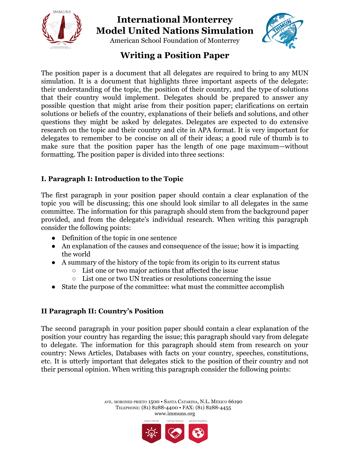

## **International Monterrey Model United Nations Simulation**

American School Foundation of Monterrey



## **Writing a Position Paper**

The position paper is a document that all delegates are required to bring to any MUN simulation. It is a document that highlights three important aspects of the delegate: their understanding of the topic, the position of their country, and the type of solutions that their country would implement. Delegates should be prepared to answer any possible question that might arise from their position paper; clarifications on certain solutions or beliefs of the country, explanations of their beliefs and solutions, and other questions they might be asked by delegates. Delegates are expected to do extensive research on the topic and their country and cite in APA format. It is very important for delegates to remember to be concise on all of their ideas; a good rule of thumb is to make sure that the position paper has the length of one page maximum—without formatting. The position paper is divided into three sections:

#### **I. Paragraph I: Introduction to the Topic**

The first paragraph in your position paper should contain a clear explanation of the topic you will be discussing; this one should look similar to all delegates in the same committee. The information for this paragraph should stem from the background paper provided, and from the delegate's individual research. When writing this paragraph consider the following points:

- Definition of the topic in one sentence
- An explanation of the causes and consequence of the issue; how it is impacting the world
- A summary of the history of the topic from its origin to its current status
	- List one or two major actions that affected the issue
	- List one or two UN treaties or resolutions concerning the issue
- State the purpose of the committee: what must the committee accomplish

#### **II Paragraph II: Country's Position**

The second paragraph in your position paper should contain a clear explanation of the position your country has regarding the issue; this paragraph should vary from delegate to delegate. The information for this paragraph should stem from research on your country: News Articles, Databases with facts on your country, speeches, constitutions, etc. It is utterly important that delegates stick to the position of their country and not their personal opinion. When writing this paragraph consider the following points:

> AVE. MORONES PRIETO 1500 • SANTA CATARINA, N.L. MÉXICO 66190 TELEPHONE: (81) 8288-4400 • FAX: (81) 8288-4455

www.immuns.org